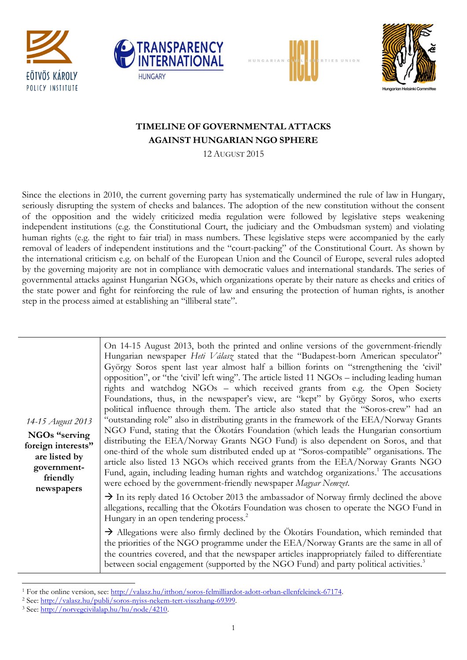







## **TIMELINE OF GOVERNMENTAL ATTACKS AGAINST HUNGARIAN NGO SPHERE**

12 AUGUST 2015

Since the elections in 2010, the current governing party has systematically undermined the rule of law in Hungary, seriously disrupting the system of checks and balances. The adoption of the new constitution without the consent of the opposition and the widely criticized media regulation were followed by legislative steps weakening independent institutions (e.g. the Constitutional Court, the judiciary and the Ombudsman system) and violating human rights (e.g. the right to fair trial) in mass numbers. These legislative steps were accompanied by the early removal of leaders of independent institutions and the "court-packing" of the Constitutional Court. As shown by the international criticism e.g. on behalf of the European Union and the Council of Europe, several rules adopted by the governing majority are not in compliance with democratic values and international standards. The series of governmental attacks against Hungarian NGOs, which organizations operate by their nature as checks and critics of the state power and fight for reinforcing the rule of law and ensuring the protection of human rights, is another step in the process aimed at establishing an "illiberal state".

| 14-15 August 2013<br>NGOs "serving<br>foreign interests"<br>are listed by<br>government-<br>friendly<br>newspapers | On 14-15 August 2013, both the printed and online versions of the government-friendly<br>Hungarian newspaper Heti Válasz stated that the "Budapest-born American speculator"<br>György Soros spent last year almost half a billion forints on "strengthening the 'civil'<br>opposition", or "the 'civil' left wing". The article listed 11 $NGOs -$ including leading human<br>rights and watchdog NGOs - which received grants from e.g. the Open Society<br>Foundations, thus, in the newspaper's view, are "kept" by György Soros, who exerts<br>political influence through them. The article also stated that the "Soros-crew" had an<br>"outstanding role" also in distributing grants in the framework of the EEA/Norway Grants<br>NGO Fund, stating that the Ökotárs Foundation (which leads the Hungarian consortium<br>distributing the EEA/Norway Grants NGO Fund) is also dependent on Soros, and that<br>one-third of the whole sum distributed ended up at "Soros-compatible" organisations. The<br>article also listed 13 NGOs which received grants from the EEA/Norway Grants NGO<br>Fund, again, including leading human rights and watchdog organizations. <sup>1</sup> The accusations<br>were echoed by the government-friendly newspaper Magyar Nemzet. |
|--------------------------------------------------------------------------------------------------------------------|-------------------------------------------------------------------------------------------------------------------------------------------------------------------------------------------------------------------------------------------------------------------------------------------------------------------------------------------------------------------------------------------------------------------------------------------------------------------------------------------------------------------------------------------------------------------------------------------------------------------------------------------------------------------------------------------------------------------------------------------------------------------------------------------------------------------------------------------------------------------------------------------------------------------------------------------------------------------------------------------------------------------------------------------------------------------------------------------------------------------------------------------------------------------------------------------------------------------------------------------------------------------------------|
|                                                                                                                    | $\rightarrow$ In its reply dated 16 October 2013 the ambassador of Norway firmly declined the above<br>allegations, recalling that the Ökotárs Foundation was chosen to operate the NGO Fund in<br>Hungary in an open tendering process. <sup>2</sup>                                                                                                                                                                                                                                                                                                                                                                                                                                                                                                                                                                                                                                                                                                                                                                                                                                                                                                                                                                                                                         |
|                                                                                                                    | $\rightarrow$ Allegations were also firmly declined by the Ökotárs Foundation, which reminded that<br>the priorities of the NGO programme under the EEA/Norway Grants are the same in all of<br>the countries covered, and that the newspaper articles inappropriately failed to differentiate<br>between social engagement (supported by the NGO Fund) and party political activities. <sup>3</sup>                                                                                                                                                                                                                                                                                                                                                                                                                                                                                                                                                                                                                                                                                                                                                                                                                                                                          |

 $\ddot{\phantom{a}}$ <sup>1</sup> For the online version, see: [http://valasz.hu/itthon/soros-felmilliardot-adott-orban-ellenfeleinek-67174.](http://valasz.hu/itthon/soros-felmilliardot-adott-orban-ellenfeleinek-67174)

<sup>2</sup> See[: http://valasz.hu/publi/soros-nyiss-nekem-tert-visszhang-69399.](http://valasz.hu/publi/soros-nyiss-nekem-tert-visszhang-69399)

<sup>3</sup> See[: http://norvegcivilalap.hu/hu/node/4210.](http://norvegcivilalap.hu/hu/node/4210)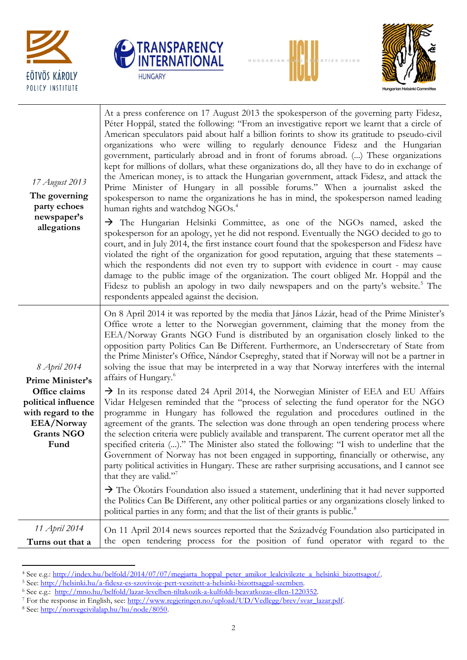







| 17 August 2013<br>The governing<br>party echoes<br>newspaper's<br>allegations                         | At a press conference on 17 August 2013 the spokesperson of the governing party Fidesz,<br>Péter Hoppál, stated the following: "From an investigative report we learnt that a circle of<br>American speculators paid about half a billion forints to show its gratitude to pseudo-civil<br>organizations who were willing to regularly denounce Fidesz and the Hungarian<br>government, particularly abroad and in front of forums abroad. () These organizations<br>kept for millions of dollars, what these organizations do, all they have to do in exchange of<br>the American money, is to attack the Hungarian government, attack Fidesz, and attack the<br>Prime Minister of Hungary in all possible forums." When a journalist asked the<br>spokesperson to name the organizations he has in mind, the spokesperson named leading<br>human rights and watchdog NGOs. <sup>4</sup><br>> The Hungarian Helsinki Committee, as one of the NGOs named, asked the<br>spokesperson for an apology, yet he did not respond. Eventually the NGO decided to go to<br>court, and in July 2014, the first instance court found that the spokesperson and Fidesz have<br>violated the right of the organization for good reputation, arguing that these statements -<br>which the respondents did not even try to support with evidence in court - may cause<br>damage to the public image of the organization. The court obliged Mr. Hoppál and the<br>Fidesz to publish an apology in two daily newspapers and on the party's website. <sup>5</sup> The<br>respondents appealed against the decision. |
|-------------------------------------------------------------------------------------------------------|-----------------------------------------------------------------------------------------------------------------------------------------------------------------------------------------------------------------------------------------------------------------------------------------------------------------------------------------------------------------------------------------------------------------------------------------------------------------------------------------------------------------------------------------------------------------------------------------------------------------------------------------------------------------------------------------------------------------------------------------------------------------------------------------------------------------------------------------------------------------------------------------------------------------------------------------------------------------------------------------------------------------------------------------------------------------------------------------------------------------------------------------------------------------------------------------------------------------------------------------------------------------------------------------------------------------------------------------------------------------------------------------------------------------------------------------------------------------------------------------------------------------------------------------------------------------------------------------------------|
| 8 April 2014<br>Prime Minister's                                                                      | On 8 April 2014 it was reported by the media that János Lázár, head of the Prime Minister's<br>Office wrote a letter to the Norwegian government, claiming that the money from the<br>EEA/Norway Grants NGO Fund is distributed by an organisation closely linked to the<br>opposition party Politics Can Be Different. Furthermore, an Undersecretary of State from<br>the Prime Minister's Office, Nándor Csepreghy, stated that if Norway will not be a partner in<br>solving the issue that may be interpreted in a way that Norway interferes with the internal<br>affairs of Hungary. <sup>6</sup>                                                                                                                                                                                                                                                                                                                                                                                                                                                                                                                                                                                                                                                                                                                                                                                                                                                                                                                                                                                            |
| Office claims<br>political influence<br>with regard to the<br>EEA/Norway<br><b>Grants NGO</b><br>Fund | $\rightarrow$ In its response dated 24 April 2014, the Norwegian Minister of EEA and EU Affairs<br>Vidar Helgesen reminded that the "process of selecting the fund operator for the NGO<br>programme in Hungary has followed the regulation and procedures outlined in the<br>agreement of the grants. The selection was done through an open tendering process where<br>the selection criteria were publicly available and transparent. The current operator met all the<br>specified criteria ()." The Minister also stated the following: "I wish to underline that the<br>Government of Norway has not been engaged in supporting, financially or otherwise, any<br>party political activities in Hungary. These are rather surprising accusations, and I cannot see<br>that they are valid."<br>$\rightarrow$ The Ökotárs Foundation also issued a statement, underlining that it had never supported                                                                                                                                                                                                                                                                                                                                                                                                                                                                                                                                                                                                                                                                                          |
| 11 April 2014                                                                                         | the Politics Can Be Different, any other political parties or any organizations closely linked to<br>political parties in any form; and that the list of their grants is public. <sup>8</sup>                                                                                                                                                                                                                                                                                                                                                                                                                                                                                                                                                                                                                                                                                                                                                                                                                                                                                                                                                                                                                                                                                                                                                                                                                                                                                                                                                                                                       |
| Turns out that a                                                                                      | On 11 April 2014 news sources reported that the Századvég Foundation also participated in<br>the open tendering process for the position of fund operator with regard to the                                                                                                                                                                                                                                                                                                                                                                                                                                                                                                                                                                                                                                                                                                                                                                                                                                                                                                                                                                                                                                                                                                                                                                                                                                                                                                                                                                                                                        |

 $\ddot{\phantom{a}}$ 4 See e.g.: [http://index.hu/belfold/2014/07/07/megjarta\\_hoppal\\_peter\\_amikor\\_lealcivilezte\\_a\\_helsinki\\_bizottsagot/.](http://index.hu/belfold/2014/07/07/megjarta_hoppal_peter_amikor_lealcivilezte_a_helsinki_bizottsagot/)

<sup>&</sup>lt;sup>5</sup> See: http://helsinki.hu/a-fidesz-es-szovivoje-pert-veszitett-a-helsinki-bizottsaggal-szemben.

<sup>6</sup> See e.g.: [http://mno.hu/belfold/lazar-levelben-tiltakozik-a-kulfoldi-beavatkozas-ellen-1220352.](http://mno.hu/belfold/lazar-levelben-tiltakozik-a-kulfoldi-beavatkozas-ellen-1220352)

<sup>7</sup> For the response in English, see: [http://www.regjeringen.no/upload/UD/Vedlegg/brev/svar\\_lazar.pdf.](http://www.regjeringen.no/upload/UD/Vedlegg/brev/svar_lazar.pdf) 

<sup>8</sup> See[: http://norvegcivilalap.hu/hu/node/8050.](http://norvegcivilalap.hu/hu/node/8050)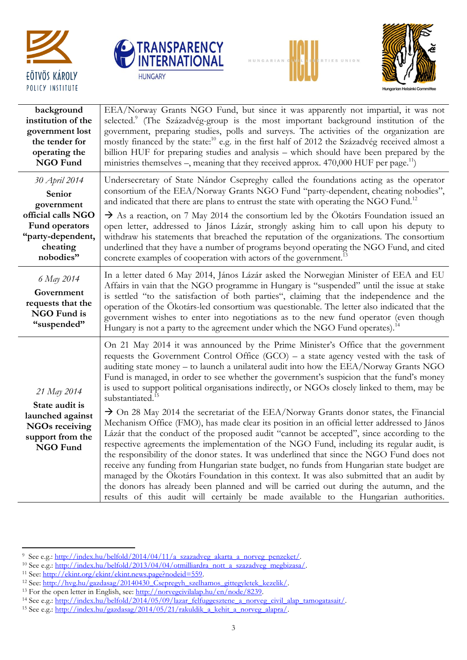







| background                                                                                                        | EEA/Norway Grants NGO Fund, but since it was apparently not impartial, it was not                                                                                                                                                                                                                                                                                                                                                                                                                                                                                                                                                                                                                                                                                                                                                                                                                                                                                                                                                                                                                                                                                                                                                                                                                                                                                              |
|-------------------------------------------------------------------------------------------------------------------|--------------------------------------------------------------------------------------------------------------------------------------------------------------------------------------------------------------------------------------------------------------------------------------------------------------------------------------------------------------------------------------------------------------------------------------------------------------------------------------------------------------------------------------------------------------------------------------------------------------------------------------------------------------------------------------------------------------------------------------------------------------------------------------------------------------------------------------------------------------------------------------------------------------------------------------------------------------------------------------------------------------------------------------------------------------------------------------------------------------------------------------------------------------------------------------------------------------------------------------------------------------------------------------------------------------------------------------------------------------------------------|
| institution of the                                                                                                | selected. <sup>9</sup> (The Századvég-group is the most important background institution of the                                                                                                                                                                                                                                                                                                                                                                                                                                                                                                                                                                                                                                                                                                                                                                                                                                                                                                                                                                                                                                                                                                                                                                                                                                                                                |
| government lost                                                                                                   | government, preparing studies, polls and surveys. The activities of the organization are                                                                                                                                                                                                                                                                                                                                                                                                                                                                                                                                                                                                                                                                                                                                                                                                                                                                                                                                                                                                                                                                                                                                                                                                                                                                                       |
| the tender for                                                                                                    | mostly financed by the state: <sup>10</sup> e.g. in the first half of 2012 the Századvég received almost a                                                                                                                                                                                                                                                                                                                                                                                                                                                                                                                                                                                                                                                                                                                                                                                                                                                                                                                                                                                                                                                                                                                                                                                                                                                                     |
| operating the                                                                                                     | billion HUF for preparing studies and analysis - which should have been prepared by the                                                                                                                                                                                                                                                                                                                                                                                                                                                                                                                                                                                                                                                                                                                                                                                                                                                                                                                                                                                                                                                                                                                                                                                                                                                                                        |
| NGO Fund                                                                                                          | ministries themselves –, meaning that they received approx. $470,000$ HUF per page. <sup>11</sup> )                                                                                                                                                                                                                                                                                                                                                                                                                                                                                                                                                                                                                                                                                                                                                                                                                                                                                                                                                                                                                                                                                                                                                                                                                                                                            |
| 30 April 2014                                                                                                     | Undersecretary of State Nándor Csepreghy called the foundations acting as the operator                                                                                                                                                                                                                                                                                                                                                                                                                                                                                                                                                                                                                                                                                                                                                                                                                                                                                                                                                                                                                                                                                                                                                                                                                                                                                         |
| Senior                                                                                                            | consortium of the EEA/Norway Grants NGO Fund "party-dependent, cheating nobodies",                                                                                                                                                                                                                                                                                                                                                                                                                                                                                                                                                                                                                                                                                                                                                                                                                                                                                                                                                                                                                                                                                                                                                                                                                                                                                             |
| government                                                                                                        | and indicated that there are plans to entrust the state with operating the NGO Fund. <sup>12</sup>                                                                                                                                                                                                                                                                                                                                                                                                                                                                                                                                                                                                                                                                                                                                                                                                                                                                                                                                                                                                                                                                                                                                                                                                                                                                             |
| official calls NGO                                                                                                | $\rightarrow$ As a reaction, on 7 May 2014 the consortium led by the Ökotárs Foundation issued an                                                                                                                                                                                                                                                                                                                                                                                                                                                                                                                                                                                                                                                                                                                                                                                                                                                                                                                                                                                                                                                                                                                                                                                                                                                                              |
| Fund operators                                                                                                    | open letter, addressed to János Lázár, strongly asking him to call upon his deputy to                                                                                                                                                                                                                                                                                                                                                                                                                                                                                                                                                                                                                                                                                                                                                                                                                                                                                                                                                                                                                                                                                                                                                                                                                                                                                          |
| "party-dependent,                                                                                                 | withdraw his statements that breached the reputation of the organizations. The consortium                                                                                                                                                                                                                                                                                                                                                                                                                                                                                                                                                                                                                                                                                                                                                                                                                                                                                                                                                                                                                                                                                                                                                                                                                                                                                      |
| cheating                                                                                                          | underlined that they have a number of programs beyond operating the NGO Fund, and cited                                                                                                                                                                                                                                                                                                                                                                                                                                                                                                                                                                                                                                                                                                                                                                                                                                                                                                                                                                                                                                                                                                                                                                                                                                                                                        |
| nobodies"                                                                                                         | concrete examples of cooperation with actors of the government.                                                                                                                                                                                                                                                                                                                                                                                                                                                                                                                                                                                                                                                                                                                                                                                                                                                                                                                                                                                                                                                                                                                                                                                                                                                                                                                |
| 6 May 2014<br>Government<br>requests that the<br>NGO Fund is<br>"suspended"                                       | In a letter dated 6 May 2014, János Lázár asked the Norwegian Minister of EEA and EU<br>Affairs in vain that the NGO programme in Hungary is "suspended" until the issue at stake<br>is settled "to the satisfaction of both parties", claiming that the independence and the<br>operation of the Ökotárs-led consortium was questionable. The letter also indicated that the<br>government wishes to enter into negotiations as to the new fund operator (even though<br>Hungary is not a party to the agreement under which the NGO Fund operates). <sup>14</sup>                                                                                                                                                                                                                                                                                                                                                                                                                                                                                                                                                                                                                                                                                                                                                                                                            |
| 21 May 2014<br>State audit is<br>launched against<br><b>NGOs receiving</b><br>support from the<br><b>NGO Fund</b> | On 21 May 2014 it was announced by the Prime Minister's Office that the government<br>requests the Government Control Office $(GCO)$ – a state agency vested with the task of<br>auditing state money – to launch a unilateral audit into how the EEA/Norway Grants NGO<br>Fund is managed, in order to see whether the government's suspicion that the fund's money<br>is used to support political organisations indirectly, or NGOs closely linked to them, may be<br>substantiated. <sup>15</sup><br>$\rightarrow$ On 28 May 2014 the secretariat of the EEA/Norway Grants donor states, the Financial<br>Mechanism Office (FMO), has made clear its position in an official letter addressed to János<br>Lázár that the conduct of the proposed audit "cannot be accepted", since according to the<br>respective agreements the implementation of the NGO Fund, including its regular audit, is<br>the responsibility of the donor states. It was underlined that since the NGO Fund does not<br>receive any funding from Hungarian state budget, no funds from Hungarian state budget are<br>managed by the Ökotárs Foundation in this context. It was also submitted that an audit by<br>the donors has already been planned and will be carried out during the autumn, and the<br>results of this audit will certainly be made available to the Hungarian authorities. |

er<br>
9 See e.g.[: http://index.hu/belfold/2014/04/11/a\\_szazadveg\\_akarta\\_a\\_norveg\\_penzeket/.](http://index.hu/belfold/2014/04/11/a_szazadveg_akarta_a_norveg_penzeket/)

<sup>&</sup>lt;sup>10</sup> See e.g.: http://index.hu/belfold/2013/04/04/otmilliardra\_nott\_a\_szazadveg\_megbizasa/.

<sup>&</sup>lt;sup>11</sup> See: http://ekint.org/ekint/ekint.news.page?nodeid=559.

<sup>&</sup>lt;sup>12</sup> See: http://hvg.hu/gazdasag/20140430\_Csepregyh\_szelhamos\_gittegyletek\_kezelik/.

<sup>&</sup>lt;sup>13</sup> For the open letter in English, see: [http://norvegcivilalap.hu/en/node/8239.](http://norvegcivilalap.hu/en/node/8239)

<sup>&</sup>lt;sup>14</sup> See e.g.: [http://index.hu/belfold/2014/05/09/lazar\\_felfuggesztene\\_a\\_norveg\\_civil\\_alap\\_tamogatasait/.](http://index.hu/belfold/2014/05/09/lazar_felfuggesztene_a_norveg_civil_alap_tamogatasait/)

<sup>&</sup>lt;sup>15</sup> See e.g.: http://index.hu/gazdasag/2014/05/21/rakuldik\_a\_kehit\_a\_norveg\_alapra/.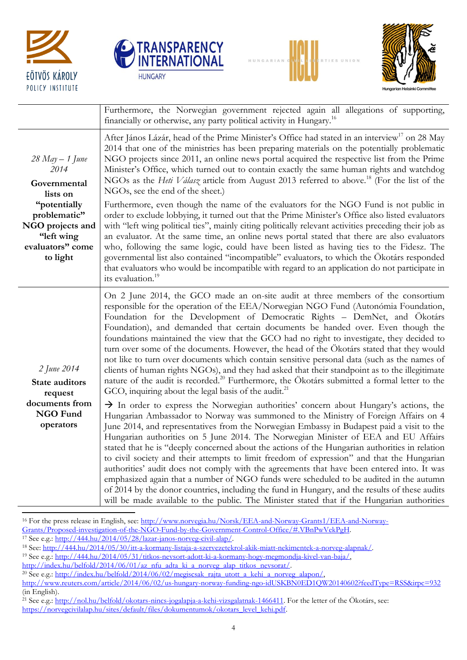







|                                                                                                | Furthermore, the Norwegian government rejected again all allegations of supporting,<br>financially or otherwise, any party political activity in Hungary. <sup>16</sup>                                                                                                                                                                                                                                                                                                                                                                                                                                                                                                                                                                                                                                                                                                                                                                                  |
|------------------------------------------------------------------------------------------------|----------------------------------------------------------------------------------------------------------------------------------------------------------------------------------------------------------------------------------------------------------------------------------------------------------------------------------------------------------------------------------------------------------------------------------------------------------------------------------------------------------------------------------------------------------------------------------------------------------------------------------------------------------------------------------------------------------------------------------------------------------------------------------------------------------------------------------------------------------------------------------------------------------------------------------------------------------|
| $28$ May $- 1$ June<br>2014<br>Governmental<br>lists on                                        | After János Lázár, head of the Prime Minister's Office had stated in an interview <sup>17</sup> on 28 May<br>2014 that one of the ministries has been preparing materials on the potentially problematic<br>NGO projects since 2011, an online news portal acquired the respective list from the Prime<br>Minister's Office, which turned out to contain exactly the same human rights and watchdog<br>NGOs as the <i>Heti Válasz</i> article from August 2013 referred to above. <sup>18</sup> (For the list of the<br>NGOs, see the end of the sheet.)                                                                                                                                                                                                                                                                                                                                                                                                 |
| "potentially<br>problematic"<br>NGO projects and<br>"left wing<br>evaluators" come<br>to light | Furthermore, even though the name of the evaluators for the NGO Fund is not public in<br>order to exclude lobbying, it turned out that the Prime Minister's Office also listed evaluators<br>with "left wing political ties", mainly citing politically relevant activities preceding their job as<br>an evaluator. At the same time, an online news portal stated that there are also evaluators<br>who, following the same logic, could have been listed as having ties to the Fidesz. The<br>governmental list also contained "incompatible" evaluators, to which the Ökotárs responded<br>that evaluators who would be incompatible with regard to an application do not participate in<br>its evaluation. <sup>19</sup>                                                                                                                                                                                                                             |
| 2 June 2014<br><b>State auditors</b><br>request                                                | On 2 June 2014, the GCO made an on-site audit at three members of the consortium<br>responsible for the operation of the EEA/Norwegian NGO Fund (Autonómia Foundation,<br>Foundation for the Development of Democratic Rights - DemNet, and Ökotárs<br>Foundation), and demanded that certain documents be handed over. Even though the<br>foundations maintained the view that the GCO had no right to investigate, they decided to<br>turn over some of the documents. However, the head of the Ökotárs stated that they would<br>not like to turn over documents which contain sensitive personal data (such as the names of<br>clients of human rights NGOs), and they had asked that their standpoint as to the illegitimate<br>nature of the audit is recorded. <sup>20</sup> Furthermore, the Ökotárs submitted a formal letter to the<br>GCO, inquiring about the legal basis of the audit. <sup>21</sup>                                        |
| documents from<br><b>NGO Fund</b><br>operators                                                 | > In order to express the Norwegian authorities' concern about Hungary's actions, the<br>Hungarian Ambassador to Norway was summoned to the Ministry of Foreign Affairs on 4<br>June 2014, and representatives from the Norwegian Embassy in Budapest paid a visit to the<br>Hungarian authorities on 5 June 2014. The Norwegian Minister of EEA and EU Affairs<br>stated that he is "deeply concerned about the actions of the Hungarian authorities in relation<br>to civil society and their attempts to limit freedom of expression" and that the Hungarian<br>authorities' audit does not comply with the agreements that have been entered into. It was<br>emphasized again that a number of NGO funds were scheduled to be audited in the autumn<br>of 2014 by the donor countries, including the fund in Hungary, and the results of these audits<br>will be made available to the public. The Minister stated that if the Hungarian authorities |

 $\ddot{\phantom{a}}$ <sup>16</sup> For the press release in English, see: [http://www.norvegia.hu/Norsk/EEA-and-Norway-Grants1/EEA-and-Norway-](http://www.norvegia.hu/Norsk/EEA-and-Norway-Grants1/EEA-and-Norway-Grants/Proposed-investigation-of-the-NGO-Fund-by-the-Government-Control-Office/#.VBnPwVekPgH)

[Grants/Proposed-investigation-of-the-NGO-Fund-by-the-Government-Control-Office/#.VBnPwVekPgH.](http://www.norvegia.hu/Norsk/EEA-and-Norway-Grants1/EEA-and-Norway-Grants/Proposed-investigation-of-the-NGO-Fund-by-the-Government-Control-Office/#.VBnPwVekPgH)

 $\frac{17}{17}$  See e.g.: [http://444.hu/2014/05/28/lazar-janos-norveg-civil-alap/.](http://444.hu/2014/05/28/lazar-janos-norveg-civil-alap/)

<sup>18</sup> See: [http://444.hu/2014/05/30/itt-a-kormany-listaja-a-szervezetekrol-akik-miatt-nekimentek-a-norveg-alapnak/.](http://444.hu/2014/05/30/itt-a-kormany-listaja-a-szervezetekrol-akik-miatt-nekimentek-a-norveg-alapnak/)

<sup>19</sup> See e.g.: [http://444.hu/2014/05/31/titkos-nevsort-adott-ki-a-kormany-hogy-megmondja-kivel-van-baja/,](http://444.hu/2014/05/31/titkos-nevsort-adott-ki-a-kormany-hogy-megmondja-kivel-van-baja/)

[http://index.hu/belfold/2014/06/01/az\\_nfu\\_adta\\_ki\\_a\\_norveg\\_alap\\_titkos\\_nevsorat/.](http://index.hu/belfold/2014/06/01/az_nfu_adta_ki_a_norveg_alap_titkos_nevsorat/)

<sup>&</sup>lt;sup>20</sup> See e.g.: http://index.hu/belfold/2014/06/02/megiscsak\_rajta\_utott\_a\_kehi\_a\_norveg\_alapon/,

<http://www.reuters.com/article/2014/06/02/us-hungary-norway-funding-ngo-idUSKBN0ED1QW20140602?feedType=RSS&irpc=932> (in English).

<sup>&</sup>lt;sup>21</sup> See e.g.:<http://nol.hu/belfold/okotars-nincs-jogalapja-a-kehi-vizsgalatnak-1466411>. For the letter of the Ökotárs, see: [https://norvegcivilalap.hu/sites/default/files/dokumentumok/okotars\\_level\\_kehi.pdf.](https://norvegcivilalap.hu/sites/default/files/dokumentumok/okotars_level_kehi.pdf)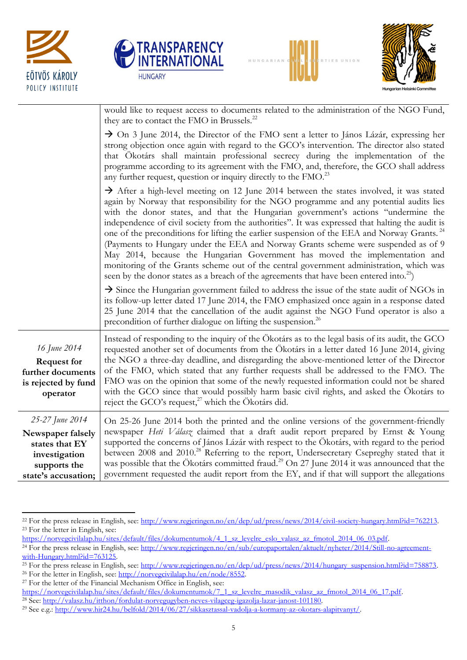







|                                                                                                                | would like to request access to documents related to the administration of the NGO Fund,<br>they are to contact the FMO in Brussels. <sup>22</sup>                                                                                                                                                                                                                                                                                                                                                                                                                                                                                                                                                                                                                                                                                                                       |
|----------------------------------------------------------------------------------------------------------------|--------------------------------------------------------------------------------------------------------------------------------------------------------------------------------------------------------------------------------------------------------------------------------------------------------------------------------------------------------------------------------------------------------------------------------------------------------------------------------------------------------------------------------------------------------------------------------------------------------------------------------------------------------------------------------------------------------------------------------------------------------------------------------------------------------------------------------------------------------------------------|
|                                                                                                                | $\rightarrow$ On 3 June 2014, the Director of the FMO sent a letter to János Lázár, expressing her<br>strong objection once again with regard to the GCO's intervention. The director also stated<br>that Ökotárs shall maintain professional secrecy during the implementation of the<br>programme according to its agreement with the FMO, and, therefore, the GCO shall address<br>any further request, question or inquiry directly to the FMO. <sup>23</sup>                                                                                                                                                                                                                                                                                                                                                                                                        |
|                                                                                                                | $\rightarrow$ After a high-level meeting on 12 June 2014 between the states involved, it was stated<br>again by Norway that responsibility for the NGO programme and any potential audits lies<br>with the donor states, and that the Hungarian government's actions "undermine the<br>independence of civil society from the authorities". It was expressed that halting the audit is<br>one of the preconditions for lifting the earlier suspension of the EEA and Norway Grants. <sup>24</sup><br>(Payments to Hungary under the EEA and Norway Grants scheme were suspended as of 9<br>May 2014, because the Hungarian Government has moved the implementation and<br>monitoring of the Grants scheme out of the central government administration, which was<br>seen by the donor states as a breach of the agreements that have been entered into. <sup>25</sup> ) |
|                                                                                                                | $\rightarrow$ Since the Hungarian government failed to address the issue of the state audit of NGOs in<br>its follow-up letter dated 17 June 2014, the FMO emphasized once again in a response dated<br>25 June 2014 that the cancellation of the audit against the NGO Fund operator is also a<br>precondition of further dialogue on lifting the suspension. <sup>26</sup>                                                                                                                                                                                                                                                                                                                                                                                                                                                                                             |
| 16 June 2014<br><b>Request for</b><br>further documents<br>is rejected by fund<br>operator                     | Instead of responding to the inquiry of the Ökotárs as to the legal basis of its audit, the GCO<br>requested another set of documents from the Ökotárs in a letter dated 16 June 2014, giving<br>the NGO a three-day deadline, and disregarding the above-mentioned letter of the Director<br>of the FMO, which stated that any further requests shall be addressed to the FMO. The<br>FMO was on the opinion that some of the newly requested information could not be shared<br>with the GCO since that would possibly harm basic civil rights, and asked the Ökotárs to<br>reject the GCO's request, <sup>27</sup> which the Ökotárs did.                                                                                                                                                                                                                             |
| 25-27 June 2014<br>Newspaper falsely<br>states that EY<br>investigation<br>supports the<br>state's accusation; | On 25-26 June 2014 both the printed and the online versions of the government-friendly<br>newspaper Heti Válasz claimed that a draft audit report prepared by Ernst & Young<br>supported the concerns of János Lázár with respect to the Ökotárs, with regard to the period<br>between 2008 and 2010. <sup>28</sup> Referring to the report, Undersecretary Csepreghy stated that it<br>was possible that the Ökotárs committed fraud. <sup>29</sup> On 27 June 2014 it was announced that the<br>government requested the audit report from the EY, and if that will support the allegations                                                                                                                                                                                                                                                                            |

https://norvegcivilalap.hu/sites/default/files/dokumentumok/4\_1\_sz\_levelre\_eslo\_valasz\_az\_fmotol\_2014\_06\_03.pdf.

<sup>27</sup> For the letter of the Financial Mechanism Office in English, see:

 $\ddot{\phantom{a}}$ 

[https://norvegcivilalap.hu/sites/default/files/dokumentumok/7\\_1\\_sz\\_levelre\\_masodik\\_valasz\\_az\\_fmotol\\_2014\\_06\\_17.pdf.](https://norvegcivilalap.hu/sites/default/files/dokumentumok/7_1_sz_levelre_masodik_valasz_az_fmotol_2014_06_17.pdf) <sup>28</sup> See: [http://valasz.hu/itthon/fordulat-norvegugyben-neves-vilagceg-igazolja-lazar-janost-101180.](http://valasz.hu/itthon/fordulat-norvegugyben-neves-vilagceg-igazolja-lazar-janost-101180) 

<sup>&</sup>lt;sup>22</sup> For the press release in English, see: [http://www.regjeringen.no/en/dep/ud/press/news/2014/civil-society-hungary.html?id=762213.](http://www.regjeringen.no/en/dep/ud/press/news/2014/civil-society-hungary.html?id=762213) <sup>23</sup> For the letter in English, see:

<sup>&</sup>lt;sup>24</sup> For the press release in English, see: [http://www.regjeringen.no/en/sub/europaportalen/aktuelt/nyheter/2014/Still-no-agreement](http://www.regjeringen.no/en/sub/europaportalen/aktuelt/nyheter/2014/Still-no-agreement-with-Hungary.html?id=763125)[with-Hungary.html?id=763125.](http://www.regjeringen.no/en/sub/europaportalen/aktuelt/nyheter/2014/Still-no-agreement-with-Hungary.html?id=763125)

<sup>&</sup>lt;sup>25</sup> For the press release in English, see: http://www.regjeringen.no/en/dep/ud/press/news/2014/hungary\_suspension.html?id=758873. <sup>26</sup> For the letter in English, see: [http://norvegcivilalap.hu/en/node/8552.](http://norvegcivilalap.hu/en/node/8552)

<sup>29</sup> See e.g.: [http://www.hir24.hu/belfold/2014/06/27/sikkasztassal-vadolja-a-kormany-az-okotars-alapitvanyt/.](http://www.hir24.hu/belfold/2014/06/27/sikkasztassal-vadolja-a-kormany-az-okotars-alapitvanyt/)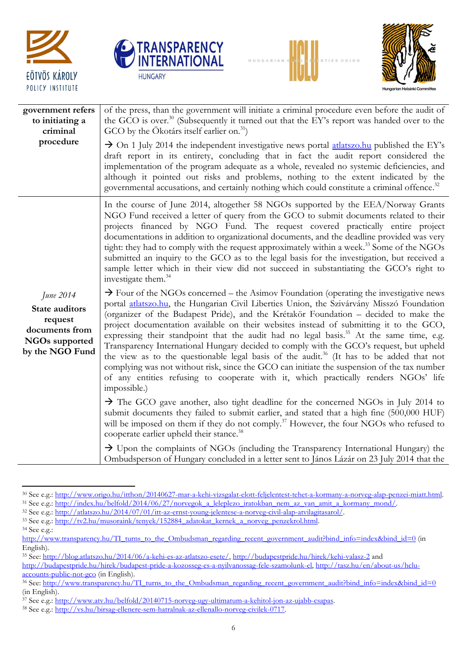







| government refers<br>to initiating a<br>criminal                                                     | of the press, than the government will initiate a criminal procedure even before the audit of<br>the GCO is over. <sup>30</sup> (Subsequently it turned out that the EY's report was handed over to the<br>GCO by the Ökotárs itself earlier on. $^{31}$ )                                                                                                                                                                                                                                                                                                                                                                                                                                                                                                                                                                                                                                                                                                                                                                                                                                                                                                                                                                                                                                                                                                                                                                                                                                                                                                                                                                                                                                                                                                                                                                                                                                                |
|------------------------------------------------------------------------------------------------------|-----------------------------------------------------------------------------------------------------------------------------------------------------------------------------------------------------------------------------------------------------------------------------------------------------------------------------------------------------------------------------------------------------------------------------------------------------------------------------------------------------------------------------------------------------------------------------------------------------------------------------------------------------------------------------------------------------------------------------------------------------------------------------------------------------------------------------------------------------------------------------------------------------------------------------------------------------------------------------------------------------------------------------------------------------------------------------------------------------------------------------------------------------------------------------------------------------------------------------------------------------------------------------------------------------------------------------------------------------------------------------------------------------------------------------------------------------------------------------------------------------------------------------------------------------------------------------------------------------------------------------------------------------------------------------------------------------------------------------------------------------------------------------------------------------------------------------------------------------------------------------------------------------------|
| procedure                                                                                            | $\rightarrow$ On 1 July 2014 the independent investigative news portal atlats zo hu published the EY's<br>draft report in its entirety, concluding that in fact the audit report considered the<br>implementation of the program adequate as a whole, revealed no systemic deficiencies, and<br>although it pointed out risks and problems, nothing to the extent indicated by the<br>governmental accusations, and certainly nothing which could constitute a criminal offence. <sup>32</sup>                                                                                                                                                                                                                                                                                                                                                                                                                                                                                                                                                                                                                                                                                                                                                                                                                                                                                                                                                                                                                                                                                                                                                                                                                                                                                                                                                                                                            |
| June 2014<br>State auditors<br>request<br>documents from<br><b>NGOs</b> supported<br>by the NGO Fund | In the course of June 2014, altogether 58 NGOs supported by the EEA/Norway Grants<br>NGO Fund received a letter of query from the GCO to submit documents related to their<br>projects financed by NGO Fund. The request covered practically entire project<br>documentations in addition to organizational documents, and the deadline provided was very<br>tight: they had to comply with the request approximately within a week. <sup>33</sup> Some of the NGOs<br>submitted an inquiry to the GCO as to the legal basis for the investigation, but received a<br>sample letter which in their view did not succeed in substantiating the GCO's right to<br>investigate them. <sup>34</sup><br>$\rightarrow$ Four of the NGOs concerned – the Asimov Foundation (operating the investigative news<br>portal atlatszo.hu, the Hungarian Civil Liberties Union, the Szivárvány Misszó Foundation<br>(organizer of the Budapest Pride), and the Krétakör Foundation - decided to make the<br>project documentation available on their websites instead of submitting it to the GCO,<br>expressing their standpoint that the audit had no legal basis. <sup>35</sup> At the same time, e.g.<br>Transparency International Hungary decided to comply with the GCO's request, but upheld<br>the view as to the questionable legal basis of the audit. <sup>36</sup> (It has to be added that not<br>complying was not without risk, since the GCO can initiate the suspension of the tax number<br>of any entities refusing to cooperate with it, which practically renders NGOs' life<br>impossible.)<br>$\rightarrow$ The GCO gave another, also tight deadline for the concerned NGOs in July 2014 to<br>submit documents they failed to submit earlier, and stated that a high fine (500,000 HUF)<br>will be imposed on them if they do not comply. <sup>37</sup> However, the four NGOs who refused to |
|                                                                                                      | cooperate earlier upheld their stance. <sup>38</sup><br>$\rightarrow$ Upon the complaints of NGOs (including the Transparency International Hungary) the<br>Ombudsperson of Hungary concluded in a letter sent to János Lázár on 23 July 2014 that the                                                                                                                                                                                                                                                                                                                                                                                                                                                                                                                                                                                                                                                                                                                                                                                                                                                                                                                                                                                                                                                                                                                                                                                                                                                                                                                                                                                                                                                                                                                                                                                                                                                    |

 $\ddot{\phantom{a}}$ <sup>30</sup> See e.g.: [http://www.origo.hu/itthon/20140627-mar-a-kehi-vizsgalat-elott-feljelentest-tehet-a-kormany-a-norveg-alap-penzei-miatt.html.](http://www.origo.hu/itthon/20140627-mar-a-kehi-vizsgalat-elott-feljelentest-tehet-a-kormany-a-norveg-alap-penzei-miatt.html)   $31$  See e.g.: [http://index.hu/belfold/2014/06/27/norvegok\\_a\\_leleplezo\\_iratokban\\_nem\\_az\\_van\\_amit\\_a\\_kormany\\_mond/.](http://index.hu/belfold/2014/06/27/norvegok_a_leleplezo_iratokban_nem_az_van_amit_a_kormany_mond/)

<sup>34</sup> See e.g.:

<sup>32</sup> See e.g.: [http://atlatszo.hu/2014/07/01/itt-az-ernst-young-jelentese-a-norveg-civil-alap-atvilagitasarol/.](http://atlatszo.hu/2014/07/01/itt-az-ernst-young-jelentese-a-norveg-civil-alap-atvilagitasarol/) 

 $33$  See e.g.: http://tv2.hu/musoraink/tenyek/152884\_adatokat\_kernek\_a\_norveg\_penzekrol.html.

[http://www.transparency.hu/TI\\_turns\\_to\\_the\\_Ombudsman\\_regarding\\_recent\\_government\\_audit?bind\\_info=index&bind\\_id=0](http://www.transparency.hu/TI_turns_to_the_Ombudsman_regarding_recent_government_audit?bind_info=index&bind_id=0) (in English).

<sup>&</sup>lt;sup>35</sup> See: [http://blog.atlatszo.hu/2014/06/a-kehi-es-az-atlatszo-esete/,](http://blog.atlatszo.hu/2014/06/a-kehi-es-az-atlatszo-esete/)<http://budapestpride.hu/hirek/kehi-valasz-2> and

[http://budapestpride.hu/hirek/budapest-pride-a-kozosseg-es-a-nyilvanossag-fele-szamolunk-el,](http://budapestpride.hu/hirek/budapest-pride-a-kozosseg-es-a-nyilvanossag-fele-szamolunk-el) [http://tasz.hu/en/about-us/hclu](http://tasz.hu/en/about-us/hclu-accounts-public-not-gco)[accounts-public-not-gco](http://tasz.hu/en/about-us/hclu-accounts-public-not-gco) (in English).

<sup>&</sup>lt;sup>36</sup> See: [http://www.transparency.hu/TI\\_turns\\_to\\_the\\_Ombudsman\\_regarding\\_recent\\_government\\_audit?bind\\_info=index&bind\\_id=0](http://www.transparency.hu/TI_turns_to_the_Ombudsman_regarding_recent_government_audit?bind_info=index&bind_id=0) (in English).

<sup>&</sup>lt;sup>37</sup> See e.g.: <u>http://www.atv.hu/belfold/20140715-norveg-ugy-ultimatum-a-kehitol-jon-az-ujabb-csapas</u>.

<sup>38</sup> See e.g.: [http://vs.hu/birsag-ellenere-sem-hatralnak-az-ellenallo-norveg-civilek-0717.](http://vs.hu/birsag-ellenere-sem-hatralnak-az-ellenallo-norveg-civilek-0717)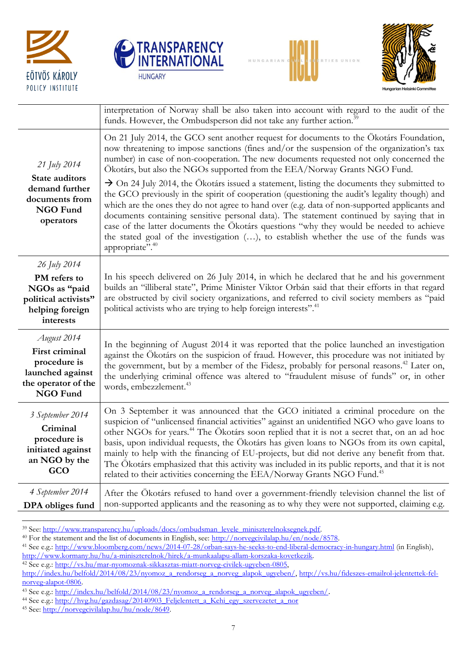







|                                                                                                             | interpretation of Norway shall be also taken into account with regard to the audit of the<br>funds. However, the Ombudsperson did not take any further action. <sup>39</sup>                                                                                                                                                                                                                                                                                                                                                                                                                                                                                                           |
|-------------------------------------------------------------------------------------------------------------|----------------------------------------------------------------------------------------------------------------------------------------------------------------------------------------------------------------------------------------------------------------------------------------------------------------------------------------------------------------------------------------------------------------------------------------------------------------------------------------------------------------------------------------------------------------------------------------------------------------------------------------------------------------------------------------|
| 21 July 2014<br>State auditors<br>demand further<br>documents from<br><b>NGO Fund</b><br>operators          | On 21 July 2014, the GCO sent another request for documents to the Ökotárs Foundation,<br>now threatening to impose sanctions (fines and/or the suspension of the organization's tax<br>number) in case of non-cooperation. The new documents requested not only concerned the<br>Ökotárs, but also the NGOs supported from the EEA/Norway Grants NGO Fund.                                                                                                                                                                                                                                                                                                                            |
|                                                                                                             | $\rightarrow$ On 24 July 2014, the Ökotárs issued a statement, listing the documents they submitted to<br>the GCO previously in the spirit of cooperation (questioning the audit's legality though) and<br>which are the ones they do not agree to hand over (e.g. data of non-supported applicants and<br>documents containing sensitive personal data). The statement continued by saying that in<br>case of the latter documents the Ökotárs questions "why they would be needed to achieve<br>the stated goal of the investigation (), to establish whether the use of the funds was<br>appropriate". <sup>40</sup>                                                                |
| 26 July 2014<br>PM refers to<br>NGOs as "paid<br>political activists"<br>helping foreign<br>interests       | In his speech delivered on 26 July 2014, in which he declared that he and his government<br>builds an "illiberal state", Prime Minister Viktor Orbán said that their efforts in that regard<br>are obstructed by civil society organizations, and referred to civil society members as "paid<br>political activists who are trying to help foreign interests". <sup>41</sup>                                                                                                                                                                                                                                                                                                           |
| August 2014<br>First criminal<br>procedure is<br>launched against<br>the operator of the<br><b>NGO Fund</b> | In the beginning of August 2014 it was reported that the police launched an investigation<br>against the Ökotárs on the suspicion of fraud. However, this procedure was not initiated by<br>the government, but by a member of the Fidesz, probably for personal reasons. <sup>42</sup> Later on,<br>the underlying criminal offence was altered to "fraudulent misuse of funds" or, in other<br>words, embezzlement. <sup>43</sup>                                                                                                                                                                                                                                                    |
| 3 September 2014<br>Criminal<br>procedure is<br>initiated against<br>an NGO by the<br>GCO                   | On 3 September it was announced that the GCO initiated a criminal procedure on the<br>suspicion of "unlicensed financial activities" against an unidentified NGO who gave loans to<br>other NGOs for years. <sup>44</sup> The Ökotárs soon replied that it is not a secret that, on an ad hoc<br>basis, upon individual requests, the Ökotárs has given loans to NGOs from its own capital,<br>mainly to help with the financing of EU-projects, but did not derive any benefit from that.<br>The Ökotárs emphasized that this activity was included in its public reports, and that it is not<br>related to their activities concerning the EEA/Norway Grants NGO Fund. <sup>45</sup> |
| 4 September 2014<br>DPA obliges fund                                                                        | After the Ökotárs refused to hand over a government-friendly television channel the list of<br>non-supported applicants and the reasoning as to why they were not supported, claiming e.g.                                                                                                                                                                                                                                                                                                                                                                                                                                                                                             |

 $\overline{a}$ <sup>39</sup> See: http://www.transparency.hu/uploads/docs/ombudsman\_levele\_miniszterelnoksegnek.pdf.

<sup>40</sup> For the statement and the list of documents in English, see: [http://norvegcivilalap.hu/en/node/8578.](http://norvegcivilalap.hu/en/node/8578)

<sup>41</sup> See e.g.:<http://www.bloomberg.com/news/2014-07-28/orban-says-he-seeks-to-end-liberal-democracy-in-hungary.html> (in English),

[http://www.kormany.hu/hu/a-miniszterelnok/hirek/a-munkaalapu-allam-korszaka-kovetkezik.](http://www.kormany.hu/hu/a-miniszterelnok/hirek/a-munkaalapu-allam-korszaka-kovetkezik) 

<sup>42</sup> See e.g.: [http://vs.hu/mar-nyomoznak-sikkasztas-miatt-norveg-civilek-ugyeben-0805,](http://vs.hu/mar-nyomoznak-sikkasztas-miatt-norveg-civilek-ugyeben-0805) 

[http://index.hu/belfold/2014/08/23/nyomoz\\_a\\_rendorseg\\_a\\_norveg\\_alapok\\_ugyeben/,](http://index.hu/belfold/2014/08/23/nyomoz_a_rendorseg_a_norveg_alapok_ugyeben/) [http://vs.hu/fideszes-emailrol-jelentettek-fel](http://vs.hu/fideszes-emailrol-jelentettek-fel-norveg-alapot-0806)[norveg-alapot-0806.](http://vs.hu/fideszes-emailrol-jelentettek-fel-norveg-alapot-0806) 

<sup>&</sup>lt;sup>43</sup> See e.g.: [http://index.hu/belfold/2014/08/23/nyomoz\\_a\\_rendorseg\\_a\\_norveg\\_alapok\\_ugyeben/](http://index.hu/belfold/2014/08/23/nyomoz_a_rendorseg_a_norveg_alapok_ugyeben/).

<sup>&</sup>lt;sup>44</sup> See e.g.: [http://hvg.hu/gazdasag/20140903\\_Feljelentett\\_a\\_Kehi\\_egy\\_szervezetet\\_a\\_nor](http://hvg.hu/gazdasag/20140903_Feljelentett_a_Kehi_egy_szervezetet_a_nor)

<sup>45</sup> See: [http://norvegcivilalap.hu/hu/node/8649.](http://norvegcivilalap.hu/hu/node/8649)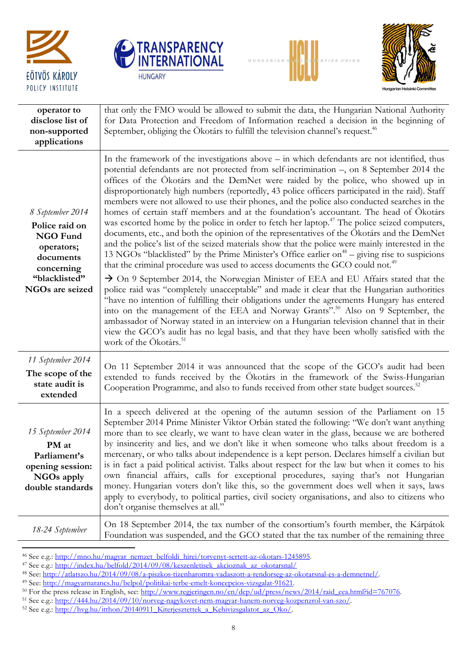

 $\ddot{\phantom{a}}$ 







| operator to<br>disclose list of<br>non-supported<br>applications                                                                          | that only the FMO would be allowed to submit the data, the Hungarian National Authority<br>for Data Protection and Freedom of Information reached a decision in the beginning of<br>September, obliging the Ökotárs to fulfill the television channel's request. <sup>46</sup>                                                                                                                                                                                                                                                                                                                                                                                                                                                                                                                                                                                                                                                                                                                                                                                                                                                                                                                                                                                                                                                                                                                                                                                                                                                                                                                                                                                                                                                        |
|-------------------------------------------------------------------------------------------------------------------------------------------|---------------------------------------------------------------------------------------------------------------------------------------------------------------------------------------------------------------------------------------------------------------------------------------------------------------------------------------------------------------------------------------------------------------------------------------------------------------------------------------------------------------------------------------------------------------------------------------------------------------------------------------------------------------------------------------------------------------------------------------------------------------------------------------------------------------------------------------------------------------------------------------------------------------------------------------------------------------------------------------------------------------------------------------------------------------------------------------------------------------------------------------------------------------------------------------------------------------------------------------------------------------------------------------------------------------------------------------------------------------------------------------------------------------------------------------------------------------------------------------------------------------------------------------------------------------------------------------------------------------------------------------------------------------------------------------------------------------------------------------|
| 8 September 2014<br>Police raid on<br><b>NGO Fund</b><br>operators;<br>documents<br>concerning<br>"blacklisted"<br><b>NGOs are seized</b> | In the framework of the investigations above – in which defendants are not identified, thus<br>potential defendants are not protected from self-incrimination -, on 8 September 2014 the<br>offices of the Ökotárs and the DemNet were raided by the police, who showed up in<br>disproportionately high numbers (reportedly, 43 police officers participated in the raid). Staff<br>members were not allowed to use their phones, and the police also conducted searches in the<br>homes of certain staff members and at the foundation's accountant. The head of Ökotárs<br>was escorted home by the police in order to fetch her laptop. <sup>47</sup> The police seized computers,<br>documents, etc., and both the opinion of the representatives of the Ökotárs and the DemNet<br>and the police's list of the seized materials show that the police were mainly interested in the<br>13 NGOs "blacklisted" by the Prime Minister's Office earlier on <sup>48</sup> – giving rise to suspicions<br>that the criminal procedure was used to access documents the GCO could not. <sup>49</sup><br>$\rightarrow$ On 9 September 2014, the Norwegian Minister of EEA and EU Affairs stated that the<br>police raid was "completely unacceptable" and made it clear that the Hungarian authorities<br>"have no intention of fulfilling their obligations under the agreements Hungary has entered<br>into on the management of the EEA and Norway Grants". <sup>50</sup> Also on 9 September, the<br>ambassador of Norway stated in an interview on a Hungarian television channel that in their<br>view the GCO's audit has no legal basis, and that they have been wholly satisfied with the<br>work of the Ökotárs. <sup>51</sup> |
| 11 September 2014<br>The scope of the<br>state audit is<br>extended                                                                       | On 11 September 2014 it was announced that the scope of the GCO's audit had been<br>extended to funds received by the Ökotárs in the framework of the Swiss-Hungarian<br>Cooperation Programme, and also to funds received from other state budget sources. <sup>52</sup>                                                                                                                                                                                                                                                                                                                                                                                                                                                                                                                                                                                                                                                                                                                                                                                                                                                                                                                                                                                                                                                                                                                                                                                                                                                                                                                                                                                                                                                             |
| 15 September 2014<br>PM at<br>Parliament's<br>opening session:<br><b>NGOs apply</b><br>double standards                                   | In a speech delivered at the opening of the autumn session of the Parliament on 15<br>September 2014 Prime Minister Viktor Orbán stated the following: "We don't want anything<br>more than to see clearly, we want to have clean water in the glass, because we are bothered<br>by insincerity and lies, and we don't like it when someone who talks about freedom is a<br>mercenary, or who talks about independence is a kept person. Declares himself a civilian but<br>is in fact a paid political activist. Talks about respect for the law but when it comes to his<br>own financial affairs, calls for exceptional procedures, saying that's not Hungarian<br>money. Hungarian voters don't like this, so the government does well when it says, laws<br>apply to everybody, to political parties, civil society organisations, and also to citizens who<br>don't organise themselves at all."                                                                                                                                                                                                                                                                                                                                                                                                                                                                                                                                                                                                                                                                                                                                                                                                                                |
| 18-24 September                                                                                                                           | On 18 September 2014, the tax number of the consortium's fourth member, the Kárpátok<br>Foundation was suspended, and the GCO stated that the tax number of the remaining three                                                                                                                                                                                                                                                                                                                                                                                                                                                                                                                                                                                                                                                                                                                                                                                                                                                                                                                                                                                                                                                                                                                                                                                                                                                                                                                                                                                                                                                                                                                                                       |

<sup>46</sup> See e.g.: [http://mno.hu/magyar\\_nemzet\\_belfoldi\\_hirei/torvenyt-sertett-az-okotars-1245895.](http://mno.hu/magyar_nemzet_belfoldi_hirei/torvenyt-sertett-az-okotars-1245895)

<sup>47</sup> See e.g.: [http://index.hu/belfold/2014/09/08/keszenletisek\\_akcioznak\\_az\\_okotarsnal/](http://index.hu/belfold/2014/09/08/keszenletisek_akcioznak_az_okotarsnal/)

<sup>48</sup> See: [http://atlatszo.hu/2014/09/08/a-piszkos-tizenharomra-vadaszott-a-rendorseg-az-okotarsnal-es-a-demnetnel/.](http://atlatszo.hu/2014/09/08/a-piszkos-tizenharomra-vadaszott-a-rendorseg-az-okotarsnal-es-a-demnetnel/) 

<sup>49</sup> See: [http://magyarnarancs.hu/belpol/politikai-terbe-emelt-koncepcios-vizsgalat-91621.](http://magyarnarancs.hu/belpol/politikai-terbe-emelt-koncepcios-vizsgalat-91621) 

<sup>&</sup>lt;sup>50</sup> For the press release in English, see: [http://www.regjeringen.no/en/dep/ud/press/news/2014/raid\\_eea.html?id=767076.](http://www.regjeringen.no/en/dep/ud/press/news/2014/raid_eea.html?id=767076)

<sup>&</sup>lt;sup>51</sup> See e.g.: http://444.hu/2014/09/10/norveg-nagykovet-nem-magyar-hanem-norveg-kozpenzrol-van-szo/.

 $52$  See e.g.: [http://hvg.hu/itthon/20140911\\_Kiterjesztettek\\_a\\_Kehivizsgalatot\\_az\\_Oko/.](http://hvg.hu/itthon/20140911_Kiterjesztettek_a_Kehivizsgalatot_az_Oko/)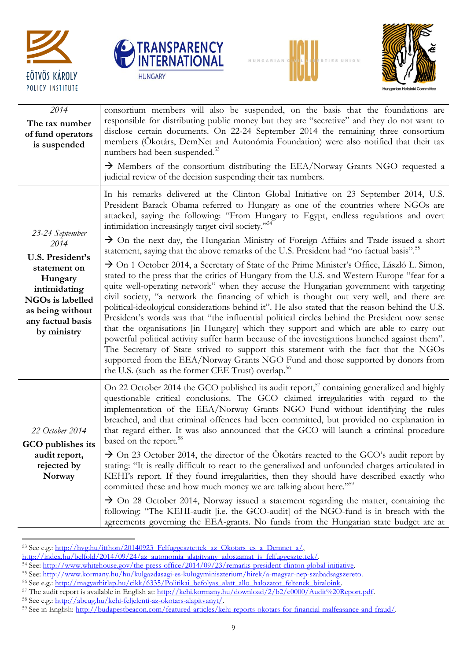







| 2014<br>The tax number<br>of fund operators<br>is suspended                                                                             | consortium members will also be suspended, on the basis that the foundations are<br>responsible for distributing public money but they are "secretive" and they do not want to<br>disclose certain documents. On 22-24 September 2014 the remaining three consortium<br>members (Ökotárs, DemNet and Autonómia Foundation) were also notified that their tax<br>numbers had been suspended. <sup>53</sup>                                                                                                                                                                                                                                                                                                                                                                                                                                                                                                                                                                                                                                |
|-----------------------------------------------------------------------------------------------------------------------------------------|------------------------------------------------------------------------------------------------------------------------------------------------------------------------------------------------------------------------------------------------------------------------------------------------------------------------------------------------------------------------------------------------------------------------------------------------------------------------------------------------------------------------------------------------------------------------------------------------------------------------------------------------------------------------------------------------------------------------------------------------------------------------------------------------------------------------------------------------------------------------------------------------------------------------------------------------------------------------------------------------------------------------------------------|
|                                                                                                                                         | $\rightarrow$ Members of the consortium distributing the EEA/Norway Grants NGO requested a<br>judicial review of the decision suspending their tax numbers.                                                                                                                                                                                                                                                                                                                                                                                                                                                                                                                                                                                                                                                                                                                                                                                                                                                                              |
|                                                                                                                                         | In his remarks delivered at the Clinton Global Initiative on 23 September 2014, U.S.<br>President Barack Obama referred to Hungary as one of the countries where NGOs are<br>attacked, saying the following: "From Hungary to Egypt, endless regulations and overt<br>intimidation increasingly target civil society." <sup>54</sup>                                                                                                                                                                                                                                                                                                                                                                                                                                                                                                                                                                                                                                                                                                     |
| 23-24 September<br>2014                                                                                                                 | $\rightarrow$ On the next day, the Hungarian Ministry of Foreign Affairs and Trade issued a short<br>statement, saying that the above remarks of the U.S. President had "no factual basis". <sup>55</sup>                                                                                                                                                                                                                                                                                                                                                                                                                                                                                                                                                                                                                                                                                                                                                                                                                                |
| U.S. President's<br>statement on<br>Hungary<br>intimidating<br>NGOs is labelled<br>as being without<br>any factual basis<br>by ministry | $\rightarrow$ On 1 October 2014, a Secretary of State of the Prime Minister's Office, László L. Simon,<br>stated to the press that the critics of Hungary from the U.S. and Western Europe "fear for a<br>quite well-operating network" when they accuse the Hungarian government with targeting<br>civil society, "a network the financing of which is thought out very well, and there are<br>political-ideological considerations behind it". He also stated that the reason behind the U.S.<br>President's words was that "the influential political circles behind the President now sense<br>that the organisations [in Hungary] which they support and which are able to carry out<br>powerful political activity suffer harm because of the investigations launched against them".<br>The Secretary of State strived to support this statement with the fact that the NGOs<br>supported from the EEA/Norway Grants NGO Fund and those supported by donors from<br>the U.S. (such as the former CEE Trust) overlap. <sup>56</sup> |
| 22 October 2014<br>GCO publishes its                                                                                                    | On 22 October 2014 the GCO published its audit report, <sup>57</sup> containing generalized and highly<br>questionable critical conclusions. The GCO claimed irregularities with regard to the<br>implementation of the EEA/Norway Grants NGO Fund without identifying the rules<br>breached, and that criminal offences had been committed, but provided no explanation in<br>that regard either. It was also announced that the GCO will launch a criminal procedure<br>based on the report. <sup>58</sup>                                                                                                                                                                                                                                                                                                                                                                                                                                                                                                                             |
| audit report,<br>rejected by<br>Norway                                                                                                  | $\rightarrow$ On 23 October 2014, the director of the Ökotárs reacted to the GCO's audit report by<br>stating: "It is really difficult to react to the generalized and unfounded charges articulated in<br>KEHI's report. If they found irregularities, then they should have described exactly who<br>committed these and how much money we are talking about here." <sup>59</sup>                                                                                                                                                                                                                                                                                                                                                                                                                                                                                                                                                                                                                                                      |
|                                                                                                                                         | $\rightarrow$ On 28 October 2014, Norway issued a statement regarding the matter, containing the<br>following: "The KEHI-audit [i.e. the GCO-audit] of the NGO-fund is in breach with the<br>agreements governing the EEA-grants. No funds from the Hungarian state budget are at                                                                                                                                                                                                                                                                                                                                                                                                                                                                                                                                                                                                                                                                                                                                                        |

 $\ddot{\phantom{a}}$ 53 See e.g.: http://hvg.hu/itthon/20140923\_Felfuggesztettek\_az\_Okotars\_es\_a\_Demnet\_a/,

[http://index.hu/belfold/2014/09/24/az\\_autonomia\\_alapitvany\\_adoszamat\\_is\\_felfuggesztettek/.](http://index.hu/belfold/2014/09/24/az_autonomia_alapitvany_adoszamat_is_felfuggesztettek/) 

<sup>&</sup>lt;sup>54</sup> See: [http://www.whitehouse.gov/the-press-office/2014/09/23/remarks-president-clinton-global-initiative.](http://www.whitehouse.gov/the-press-office/2014/09/23/remarks-president-clinton-global-initiative)

<sup>55</sup> See: [http://www.kormany.hu/hu/kulgazdasagi-es-kulugyminiszterium/hirek/a-magyar-nep-szabadsagszereto.](http://www.kormany.hu/hu/kulgazdasagi-es-kulugyminiszterium/hirek/a-magyar-nep-szabadsagszereto)  56 See e.g.: http://magyarhirlap.hu/cikk/6335/Politikai\_befolyas\_alatt\_allo\_halozatot\_feltenek\_biraloink.

<sup>&</sup>lt;sup>57</sup> The audit report is available in English at: [http://kehi.kormany.hu/download/2/b2/c0000/Audit%20Report.pdf.](http://kehi.kormany.hu/download/2/b2/c0000/Audit%20Report.pdf)

<sup>58</sup> See e.g.: [http://abcug.hu/kehi-feljelenti-az-okotars-alapitvanyt/.](http://abcug.hu/kehi-feljelenti-az-okotars-alapitvanyt/)

<sup>&</sup>lt;sup>59</sup> See in English: http://budapestbeacon.com/featured-articles/kehi-reports-okotars-for-financial-malfeasance-and-fraud/.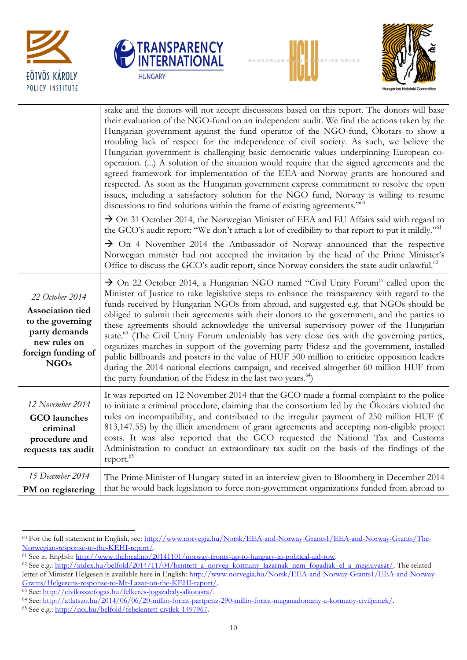







|                                                                                                                               | stake and the donors will not accept discussions based on this report. The donors will base<br>their evaluation of the NGO-fund on an independent audit. We find the actions taken by the<br>Hungarian government against the fund operator of the NGO-fund, Ökotars to show a<br>troubling lack of respect for the independence of civil society. As such, we believe the<br>Hungarian government is challenging basic democratic values underpinning European co-<br>operation. () A solution of the situation would require that the signed agreements and the<br>agreed framework for implementation of the EEA and Norway grants are honoured and<br>respected. As soon as the Hungarian government express commitment to resolve the open<br>issues, including a satisfactory solution for the NGO fund, Norway is willing to resume<br>discussions to find solutions within the frame of existing agreements." <sup>60</sup><br>$\rightarrow$ On 31 October 2014, the Norwegian Minister of EEA and EU Affairs said with regard to<br>the GCO's audit report: "We don't attach a lot of credibility to that report to put it mildly." <sup>61</sup><br>$\rightarrow$ On 4 November 2014 the Ambassador of Norway announced that the respective<br>Norwegian minister had not accepted the invitation by the head of the Prime Minister's<br>Office to discuss the GCO's audit report, since Norway considers the state audit unlawful. <sup>62</sup> |
|-------------------------------------------------------------------------------------------------------------------------------|-------------------------------------------------------------------------------------------------------------------------------------------------------------------------------------------------------------------------------------------------------------------------------------------------------------------------------------------------------------------------------------------------------------------------------------------------------------------------------------------------------------------------------------------------------------------------------------------------------------------------------------------------------------------------------------------------------------------------------------------------------------------------------------------------------------------------------------------------------------------------------------------------------------------------------------------------------------------------------------------------------------------------------------------------------------------------------------------------------------------------------------------------------------------------------------------------------------------------------------------------------------------------------------------------------------------------------------------------------------------------------------------------------------------------------------------------------------|
| 22 October 2014<br>Association tied<br>to the governing<br>party demands<br>new rules on<br>foreign funding of<br><b>NGOs</b> | $\rightarrow$ On 22 October 2014, a Hungarian NGO named "Civil Unity Forum" called upon the<br>Minister of Justice to take legislative steps to enhance the transparency with regard to the<br>funds received by Hungarian NGOs from abroad, and suggested e.g. that NGOs should be<br>obliged to submit their agreements with their donors to the government, and the parties to<br>these agreements should acknowledge the universal supervisory power of the Hungarian<br>state. <sup>63</sup> (The Civil Unity Forum undeniably has very close ties with the governing parties,<br>organizes marches in support of the governing party Fidesz and the government, installed<br>public billboards and posters in the value of HUF 500 million to criticize opposition leaders<br>during the 2014 national elections campaign, and received altogether 60 million HUF from<br>the party foundation of the Fidesz in the last two years. <sup>64</sup> )                                                                                                                                                                                                                                                                                                                                                                                                                                                                                                   |
| 12 November 2014<br><b>GCO</b> launches<br>criminal<br>procedure and<br>requests tax audit                                    | It was reported on 12 November 2014 that the GCO made a formal complaint to the police<br>to initiate a criminal procedure, claiming that the consortium led by the Ökotárs violated the<br>rules on incompatibility, and contributed to the irregular payment of 250 million HUF ( $\epsilon$<br>813,147.55) by the illicit amendment of grant agreements and accepting non-eligible project<br>costs. It was also reported that the GCO requested the National Tax and Customs<br>Administration to conduct an extraordinary tax audit on the basis of the findings of the<br>report. <sup>65</sup>                                                                                                                                                                                                                                                                                                                                                                                                                                                                                                                                                                                                                                                                                                                                                                                                                                                       |
| 15 December 2014<br>PM on registering                                                                                         | The Prime Minister of Hungary stated in an interview given to Bloomberg in December 2014<br>that he would back legislation to force non-government organizations funded from abroad to                                                                                                                                                                                                                                                                                                                                                                                                                                                                                                                                                                                                                                                                                                                                                                                                                                                                                                                                                                                                                                                                                                                                                                                                                                                                      |

 $\overline{a}$ <sup>60</sup> For the full statement in English, see: [http://www.norvegia.hu/Norsk/EEA-and-Norway-Grants1/EEA-and-Norway-Grants/The-](http://www.norvegia.hu/Norsk/EEA-and-Norway-Grants1/EEA-and-Norway-Grants/The-Norwegian-response-to-the-KEHI-report/)[Norwegian-response-to-the-KEHI-report/.](http://www.norvegia.hu/Norsk/EEA-and-Norway-Grants1/EEA-and-Norway-Grants/The-Norwegian-response-to-the-KEHI-report/)

<sup>&</sup>lt;sup>61</sup> See in English: http://www.thelocal.no/20141101/norway-fronts-up-to-hungary-in-political-aid-row.

<sup>&</sup>lt;sup>62</sup> See e.g.: [http://index.hu/belfold/2014/11/04/beintett\\_a\\_norveg\\_kormany\\_lazarnak\\_nem\\_fogadjak\\_el\\_a\\_meghivasat/.](http://index.hu/belfold/2014/11/04/beintett_a_norveg_kormany_lazarnak_nem_fogadjak_el_a_meghivasat/) The related letter of Minister Helgesen is available here in English: [http://www.norvegia.hu/Norsk/EEA-and-Norway-Grants1/EEA-and-Norway-](http://www.norvegia.hu/Norsk/EEA-and-Norway-Grants1/EEA-and-Norway-Grants/Helgesens-response-to-Mr-Lazar-on-the-KEHI-report/)[Grants/Helgesens-response-to-Mr-Lazar-on-the-KEHI-report/.](http://www.norvegia.hu/Norsk/EEA-and-Norway-Grants1/EEA-and-Norway-Grants/Helgesens-response-to-Mr-Lazar-on-the-KEHI-report/)

<sup>63</sup> See: [http://civilosszefogas.hu/felkeres-jogszabaly-alkotasra/.](http://civilosszefogas.hu/felkeres-jogszabaly-alkotasra/) 

<sup>64</sup> See: [http://atlatszo.hu/2014/06/06/20-millio-forint-partpenz-290-millio-forint-maganadomany-a-kormany-civiljeinek/.](http://atlatszo.hu/2014/06/06/20-millio-forint-partpenz-290-millio-forint-maganadomany-a-kormany-civiljeinek/) 

<sup>65</sup> See e.g.: [http://nol.hu/belfold/feljelentett-civilek-1497967.](http://nol.hu/belfold/feljelentett-civilek-1497967)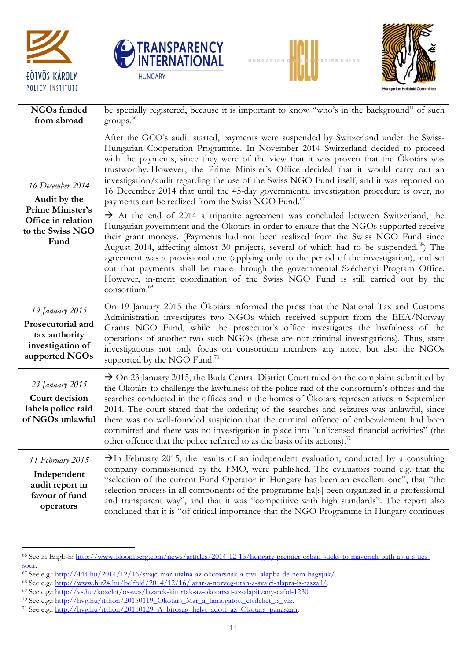







| NGOs funded<br>from abroad                                                                             | be specially registered, because it is important to know "who's in the background" of such<br>groups. <sup>66</sup>                                                                                                                                                                                                                                                                                                                                                                                                                                                                                                                                                                                                                                                                                                                                                                                                                                                                                                                                                                                                                                                                                                                                                                                                      |
|--------------------------------------------------------------------------------------------------------|--------------------------------------------------------------------------------------------------------------------------------------------------------------------------------------------------------------------------------------------------------------------------------------------------------------------------------------------------------------------------------------------------------------------------------------------------------------------------------------------------------------------------------------------------------------------------------------------------------------------------------------------------------------------------------------------------------------------------------------------------------------------------------------------------------------------------------------------------------------------------------------------------------------------------------------------------------------------------------------------------------------------------------------------------------------------------------------------------------------------------------------------------------------------------------------------------------------------------------------------------------------------------------------------------------------------------|
| 16 December 2014<br>Audit by the<br>Prime Minister's<br>Office in relation<br>to the Swiss NGO<br>Fund | After the GCO's audit started, payments were suspended by Switzerland under the Swiss-<br>Hungarian Cooperation Programme. In November 2014 Switzerland decided to proceed<br>with the payments, since they were of the view that it was proven that the Ökotárs was<br>trustworthy. However, the Prime Minister's Office decided that it would carry out an<br>investigation/audit regarding the use of the Swiss NGO Fund itself, and it was reported on<br>16 December 2014 that until the 45-day governmental investigation procedure is over, no<br>payments can be realized from the Swiss NGO Fund. <sup>67</sup><br>$\rightarrow$ At the end of 2014 a tripartite agreement was concluded between Switzerland, the<br>Hungarian government and the Ökotárs in order to ensure that the NGOs supported receive<br>their grant moneys. (Payments had not been realized from the Swiss NGO Fund since<br>August 2014, affecting almost 30 projects, several of which had to be suspended. <sup>68</sup> ) The<br>agreement was a provisional one (applying only to the period of the investigation), and set<br>out that payments shall be made through the governmental Széchenyi Program Office.<br>However, in-merit coordination of the Swiss NGO Fund is still carried out by the<br>consortium. <sup>69</sup> |
| 19 January 2015<br>Prosecutorial and<br>tax authority<br>investigation of<br>supported NGOs            | On 19 January 2015 the Ökotárs informed the press that the National Tax and Customs<br>Administration investigates two NGOs which received support from the EEA/Norway<br>Grants NGO Fund, while the prosecutor's office investigates the lawfulness of the<br>operations of another two such NGOs (these are not criminal investigations). Thus, state<br>investigations not only focus on consortium members any more, but also the NGOs<br>supported by the NGO Fund. <sup>70</sup>                                                                                                                                                                                                                                                                                                                                                                                                                                                                                                                                                                                                                                                                                                                                                                                                                                   |
| 23 January 2015<br>Court decision<br>labels police raid<br>of NGOs unlawful                            | $\rightarrow$ On 23 January 2015, the Buda Central District Court ruled on the complaint submitted by<br>the Ökotárs to challenge the lawfulness of the police raid of the consortium's offices and the<br>searches conducted in the offices and in the homes of Ökotárs representatives in September<br>2014. The court stated that the ordering of the searches and seizures was unlawful, since<br>there was no well-founded suspicion that the criminal offence of embezzlement had been<br>committed and there was no investigation in place into "unlicensed financial activities" (the<br>other offence that the police referred to as the basis of its actions). <sup>71</sup>                                                                                                                                                                                                                                                                                                                                                                                                                                                                                                                                                                                                                                   |
| 11 February 2015<br>Independent<br>audit report in<br>favour of fund<br>operators                      | $\rightarrow$ In February 2015, the results of an independent evaluation, conducted by a consulting<br>company commissioned by the FMO, were published. The evaluators found e.g. that the<br>"selection of the current Fund Operator in Hungary has been an excellent one", that "the<br>selection process in all components of the programme ha[s] been organized in a professional<br>and transparent way", and that it was "competitive with high standards". The report also<br>concluded that it is "of critical importance that the NGO Programme in Hungary continues                                                                                                                                                                                                                                                                                                                                                                                                                                                                                                                                                                                                                                                                                                                                            |

[sour.](http://www.bloomberg.com/news/articles/2014-12-15/hungary-premier-orban-sticks-to-maverick-path-as-u-s-ties-sour) 

 $\ddot{\phantom{a}}$ 

<sup>66</sup> See in English: [http://www.bloomberg.com/news/articles/2014-12-15/hungary-premier-orban-sticks-to-maverick-path-as-u-s-ties-](http://www.bloomberg.com/news/articles/2014-12-15/hungary-premier-orban-sticks-to-maverick-path-as-u-s-ties-sour)

<sup>&</sup>lt;sup>67</sup> See e.g.: [http://444.hu/2014/12/16/svajc-mar-utalna-az-okotarsnak-a-civil-alapba-de-nem-hagyjuk/.](http://444.hu/2014/12/16/svajc-mar-utalna-az-okotarsnak-a-civil-alapba-de-nem-hagyjuk/)

<sup>&</sup>lt;sup>68</sup> See e.g.: [http://www.hir24.hu/belfold/2014/12/16/lazar-a-norveg-utan-a-svajci-alapra-is-raszall/.](http://www.hir24.hu/belfold/2014/12/16/lazar-a-norveg-utan-a-svajci-alapra-is-raszall/)

<sup>69</sup> See e.g.: [http://vs.hu/kozelet/osszes/lazarek-kiturtak-az-okotarsat-az-alapitvany-cafol-1230.](http://vs.hu/kozelet/osszes/lazarek-kiturtak-az-okotarsat-az-alapitvany-cafol-1230)

<sup>&</sup>lt;sup>70</sup> See e.g.: http://hvg.hu/itthon/20150119\_Okotars\_Mar\_a\_tamogatott\_civileket\_is\_viz.

<sup>71</sup> See e.g.: [http://hvg.hu/itthon/20150129\\_A\\_birosag\\_helyt\\_adott\\_az\\_Okotars\\_panaszan.](http://hvg.hu/itthon/20150129_A_birosag_helyt_adott_az_Okotars_panaszan)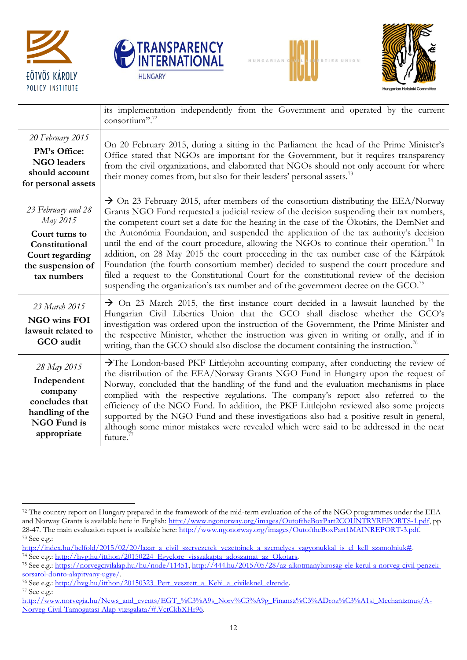

 $\ddot{\phantom{a}}$ 







|                                                                                                                           | its implementation independently from the Government and operated by the current<br>consortium". <sup>72</sup>                                                                                                                                                                                                                                                                                                                                                                                                                                                                                                                                                                                                                                                                                                                                                                  |
|---------------------------------------------------------------------------------------------------------------------------|---------------------------------------------------------------------------------------------------------------------------------------------------------------------------------------------------------------------------------------------------------------------------------------------------------------------------------------------------------------------------------------------------------------------------------------------------------------------------------------------------------------------------------------------------------------------------------------------------------------------------------------------------------------------------------------------------------------------------------------------------------------------------------------------------------------------------------------------------------------------------------|
| 20 February 2015<br>PM's Office:<br><b>NGO</b> leaders<br>should account<br>for personal assets                           | On 20 February 2015, during a sitting in the Parliament the head of the Prime Minister's<br>Office stated that NGOs are important for the Government, but it requires transparency<br>from the civil organizations, and elaborated that NGOs should not only account for where<br>their money comes from, but also for their leaders' personal assets. <sup>73</sup>                                                                                                                                                                                                                                                                                                                                                                                                                                                                                                            |
| 23 February and 28<br>May 2015<br>Court turns to<br>Constitutional<br>Court regarding<br>the suspension of<br>tax numbers | $\rightarrow$ On 23 February 2015, after members of the consortium distributing the EEA/Norway<br>Grants NGO Fund requested a judicial review of the decision suspending their tax numbers,<br>the competent court set a date for the hearing in the case of the Ökotárs, the DemNet and<br>the Autonómia Foundation, and suspended the application of the tax authority's decision<br>until the end of the court procedure, allowing the NGOs to continue their operation. <sup>74</sup> In<br>addition, on 28 May 2015 the court proceeding in the tax number case of the Kárpátok<br>Foundation (the fourth consortium member) decided to suspend the court procedure and<br>filed a request to the Constitutional Court for the constitutional review of the decision<br>suspending the organization's tax number and of the government decree on the $GCO$ . <sup>75</sup> |
| 23 March 2015<br>NGO wins FOI<br>lawsuit related to<br>GCO audit                                                          | $\rightarrow$ On 23 March 2015, the first instance court decided in a lawsuit launched by the<br>Hungarian Civil Liberties Union that the GCO shall disclose whether the GCO's<br>investigation was ordered upon the instruction of the Government, the Prime Minister and<br>the respective Minister, whether the instruction was given in writing or orally, and if in<br>writing, than the GCO should also disclose the document containing the instruction. <sup>76</sup>                                                                                                                                                                                                                                                                                                                                                                                                   |
| 28 May 2015<br>Independent<br>company<br>concludes that<br>handling of the<br><b>NGO Fund is</b><br>appropriate           | >The London-based PKF Littlejohn accounting company, after conducting the review of<br>the distribution of the EEA/Norway Grants NGO Fund in Hungary upon the request of<br>Norway, concluded that the handling of the fund and the evaluation mechanisms in place<br>complied with the respective regulations. The company's report also referred to the<br>efficiency of the NGO Fund. In addition, the PKF Littlejohn reviewed also some projects<br>supported by the NGO Fund and these investigations also had a positive result in general,<br>although some minor mistakes were revealed which were said to be addressed in the near<br>future. <sup>7</sup>                                                                                                                                                                                                             |

<sup>&</sup>lt;sup>72</sup> The country report on Hungary prepared in the framework of the mid-term evaluation of the of the NGO programmes under the EEA and Norway Grants is available here in English: [http://www.ngonorway.org/images/OutoftheBoxPart2COUNTRYREPORTS-1.pdf,](http://www.ngonorway.org/images/OutoftheBoxPart2COUNTRYREPORTS-1.pdf) pp 28-47. The main evaluation report is available here: [http://www.ngonorway.org/images/OutoftheBoxPart1MAINREPORT-3.pdf.](http://www.ngonorway.org/images/OutoftheBoxPart1MAINREPORT-3.pdf)  <sup>73</sup> See e.g.:

[http://index.hu/belfold/2015/02/20/lazar\\_a\\_civil\\_szervezetek\\_vezetoinek\\_a\\_szemelyes\\_vagyonukkal\\_is\\_el\\_kell\\_szamolniuk#.](http://index.hu/belfold/2015/02/20/lazar_a_civil_szervezetek_vezetoinek_a_szemelyes_vagyonukkal_is_el_kell_szamolniuk) <sup>74</sup> See e.g.: http://hvg.hu/itthon/20150224\_Egyelore\_visszakapta\_adoszamat\_az\_Okotars.

<sup>75</sup> See e.g.: [https://norvegcivilalap.hu/hu/node/11451,](https://norvegcivilalap.hu/hu/node/11451) [http://444.hu/2015/05/28/az-alkotmanybirosag-ele-kerul-a-norveg-civil-penzek](http://444.hu/2015/05/28/az-alkotmanybirosag-ele-kerul-a-norveg-civil-penzek-sorsarol-donto-alapitvany-ugye/)[sorsarol-donto-alapitvany-ugye/.](http://444.hu/2015/05/28/az-alkotmanybirosag-ele-kerul-a-norveg-civil-penzek-sorsarol-donto-alapitvany-ugye/)

<sup>&</sup>lt;sup>76</sup> See e.g.: [http://hvg.hu/itthon/20150323\\_Pert\\_vesztett\\_a\\_Kehi\\_a\\_civileknel\\_elrende.](http://hvg.hu/itthon/20150323_Pert_vesztett_a_Kehi_a_civileknel_elrende) <sup>77</sup> See e.g.:

[http://www.norvegia.hu/News\\_and\\_events/EGT\\_%C3%A9s\\_Norv%C3%A9g\\_Finansz%C3%ADroz%C3%A1si\\_Mechanizmus/A-](http://www.norvegia.hu/News_and_events/EGT_%C3%A9s_Norv%C3%A9g_Finansz%C3%ADroz%C3%A1si_Mechanizmus/A-Norveg-Civil-Tamogatasi-Alap-vizsgalata/#.VctCkbXHr96)[Norveg-Civil-Tamogatasi-Alap-vizsgalata/#.VctCkbXHr96.](http://www.norvegia.hu/News_and_events/EGT_%C3%A9s_Norv%C3%A9g_Finansz%C3%ADroz%C3%A1si_Mechanizmus/A-Norveg-Civil-Tamogatasi-Alap-vizsgalata/#.VctCkbXHr96)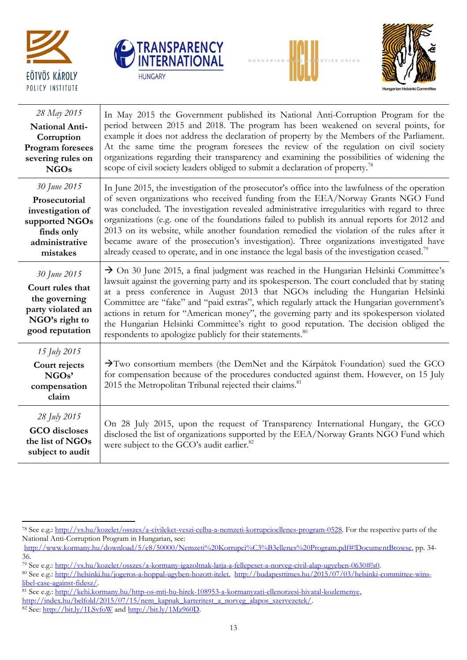







| 28 May 2015<br>National Anti-<br>Corruption<br><b>Program</b> foresees<br>severing rules on<br><b>NGOs</b>      | In May 2015 the Government published its National Anti-Corruption Program for the<br>period between 2015 and 2018. The program has been weakened on several points, for<br>example it does not address the declaration of property by the Members of the Parliament.<br>At the same time the program foresees the review of the regulation on civil society<br>organizations regarding their transparency and examining the possibilities of widening the<br>scope of civil society leaders obliged to submit a declaration of property. <sup>78</sup>                                                                                                                                   |
|-----------------------------------------------------------------------------------------------------------------|------------------------------------------------------------------------------------------------------------------------------------------------------------------------------------------------------------------------------------------------------------------------------------------------------------------------------------------------------------------------------------------------------------------------------------------------------------------------------------------------------------------------------------------------------------------------------------------------------------------------------------------------------------------------------------------|
| 30 June 2015<br>Prosecutorial<br>investigation of<br>supported NGOs<br>finds only<br>administrative<br>mistakes | In June 2015, the investigation of the prosecutor's office into the lawfulness of the operation<br>of seven organizations who received funding from the EEA/Norway Grants NGO Fund<br>was concluded. The investigation revealed administrative irregularities with regard to three<br>organizations (e.g. one of the foundations failed to publish its annual reports for 2012 and<br>2013 on its website, while another foundation remedied the violation of the rules after it<br>became aware of the prosecution's investigation). Three organizations investigated have<br>already ceased to operate, and in one instance the legal basis of the investigation ceased. <sup>79</sup> |
| 30 June 2015<br>Court rules that<br>the governing<br>party violated an<br>NGO's right to<br>good reputation     | $\rightarrow$ On 30 June 2015, a final judgment was reached in the Hungarian Helsinki Committee's<br>lawsuit against the governing party and its spokesperson. The court concluded that by stating<br>at a press conference in August 2013 that NGOs including the Hungarian Helsinki<br>Committee are "fake" and "paid extras", which regularly attack the Hungarian government's<br>actions in return for "American money", the governing party and its spokesperson violated<br>the Hungarian Helsinki Committee's right to good reputation. The decision obliged the<br>respondents to apologize publicly for their statements. <sup>80</sup>                                        |
| 15 July 2015<br>Court rejects<br>NGOs'<br>compensation<br>claim                                                 | $\rightarrow$ Two consortium members (the DemNet and the Kárpátok Foundation) sued the GCO<br>for compensation because of the procedures conducted against them. However, on 15 July<br>2015 the Metropolitan Tribunal rejected their claims. <sup>81</sup>                                                                                                                                                                                                                                                                                                                                                                                                                              |
| 28 July 2015<br><b>GCO</b> discloses<br>the list of NGOs<br>subject to audit                                    | On 28 July 2015, upon the request of Transparency International Hungary, the GCO<br>disclosed the list of organizations supported by the EEA/Norway Grants NGO Fund which<br>were subject to the GCO's audit earlier. <sup>82</sup>                                                                                                                                                                                                                                                                                                                                                                                                                                                      |

[http://index.hu/belfold/2015/07/15/nem\\_kapnak\\_karteritest\\_a\\_norveg\\_alapos\\_szervezetek/.](http://index.hu/belfold/2015/07/15/nem_kapnak_karteritest_a_norveg_alapos_szervezetek/)

 $\ddot{\phantom{a}}$ <sup>78</sup> See e.g.: [http://vs.hu/kozelet/osszes/a-civileket-veszi-celba-a-nemzeti-korrupcioellenes-program-0528.](http://vs.hu/kozelet/osszes/a-civileket-veszi-celba-a-nemzeti-korrupcioellenes-program-0528) For the respective parts of the National Anti-Corruption Program in Hungarian, see:

[http://www.kormany.hu/download/5/e8/50000/Nemzeti%20Korrupci%C3%B3ellenes%20Program.pdf#!DocumentBrowse,](http://www.kormany.hu/download/5/e8/50000/Nemzeti%20Korrupci%C3%B3ellenes%20Program.pdf#!DocumentBrowse) pp. 34- 36.

<sup>79</sup> See e.g.: [http://vs.hu/kozelet/osszes/a-kormany-igazoltnak-latja-a-fellepeset-a-norveg-civil-alap-ugyeben-0630#!s0.](http://vs.hu/kozelet/osszes/a-kormany-igazoltnak-latja-a-fellepeset-a-norveg-civil-alap-ugyeben-0630#%21s0)

<sup>80</sup> See e.g.: [http://helsinki.hu/jogeros-a-hoppal-ugyben-hozott-itelet,](http://helsinki.hu/jogeros-a-hoppal-ugyben-hozott-itelet) [http://budapesttimes.hu/2015/07/03/helsinki-committee-wins](http://budapesttimes.hu/2015/07/03/helsinki-committee-wins-libel-case-against-fidesz/)[libel-case-against-fidesz/.](http://budapesttimes.hu/2015/07/03/helsinki-committee-wins-libel-case-against-fidesz/)

<sup>81</sup> See e.g.: [http://kehi.kormany.hu/http-os-mti-hu-hirek-108953-a-kormanyzati-ellenorzesi-hivatal-kozlemenye,](http://kehi.kormany.hu/http-os-mti-hu-hirek-108953-a-kormanyzati-ellenorzesi-hivatal-kozlemenye) 

 $82$  See: <http://bit.ly/1LSvfoW> and [http://bit.ly/1Mz960D.](http://bit.ly/1Mz960D)